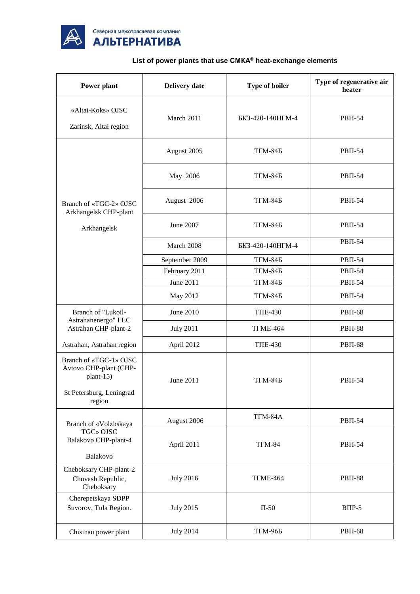

## **List of power plants that use СМКА® heat-exchange elements**

| Power plant                                                                                         | <b>Delivery date</b> | Type of boiler   | Type of regenerative air<br>heater |
|-----------------------------------------------------------------------------------------------------|----------------------|------------------|------------------------------------|
| «Altai-Koks» OJSC<br>Zarinsk, Altai region                                                          | March 2011           | БКЗ-420-140НГМ-4 | <b>PBII-54</b>                     |
|                                                                                                     | August 2005          | <b>TTM-845</b>   | <b>PBII-54</b>                     |
|                                                                                                     | May 2006             | $TIM-84B$        | <b>PBII-54</b>                     |
| Branch of «TGC-2» OJSC<br>Arkhangelsk CHP-plant                                                     | August 2006          | $TTM-845$        | <b>PBII-54</b>                     |
| Arkhangelsk                                                                                         | June 2007            | <b>TTM-845</b>   | <b>PBΠ-54</b>                      |
|                                                                                                     | March 2008           | БКЗ-420-140НГМ-4 | <b>PBII-54</b>                     |
|                                                                                                     | September 2009       | <b>TFM-845</b>   | <b>PBΠ-54</b>                      |
|                                                                                                     | February 2011        | $TIM-845$        | <b>PBII-54</b>                     |
|                                                                                                     | June 2011            | <b>TTM-845</b>   | <b>PBII-54</b>                     |
|                                                                                                     | May 2012             | <b>TFM-845</b>   | <b>PBΠ-54</b>                      |
| Branch of "Lukoil-                                                                                  | June 2010            | <b>TΠE-430</b>   | <b>PBII-68</b>                     |
| Astrahanenergo" LLC<br>Astrahan CHP-plant-2                                                         | <b>July 2011</b>     | TTME-464         | $PBII-88$                          |
| Astrahan, Astrahan region                                                                           | April 2012           | <b>TΠE-430</b>   | <b>PBII-68</b>                     |
| Branch of «TGC-1» OJSC<br>Avtovo CHP-plant (CHP-<br>plant-15)<br>St Petersburg, Leningrad<br>region | June 2011            | <b>TTM-845</b>   | <b>PBII-54</b>                     |
| Branch of «Volzhskaya                                                                               | August 2006          | TTM-84A          | <b>PBΠ-54</b>                      |
| TGC» OJSC<br>Balakovo CHP-plant-4<br>Balakovo                                                       | April 2011           | TTM-84           | <b>PBII-54</b>                     |
| Cheboksary CHP-plant-2<br>Chuvash Republic,<br>Cheboksary                                           | <b>July 2016</b>     | TTME-464         | <b>PBII-88</b>                     |
| Cherepetskaya SDPP<br>Suvorov, Tula Region.                                                         | <b>July 2015</b>     | $\Pi$ -50        | $B\Pi P-5$                         |
| Chisinau power plant                                                                                | <b>July 2014</b>     | <b>ТГМ-96Б</b>   | <b>PBII-68</b>                     |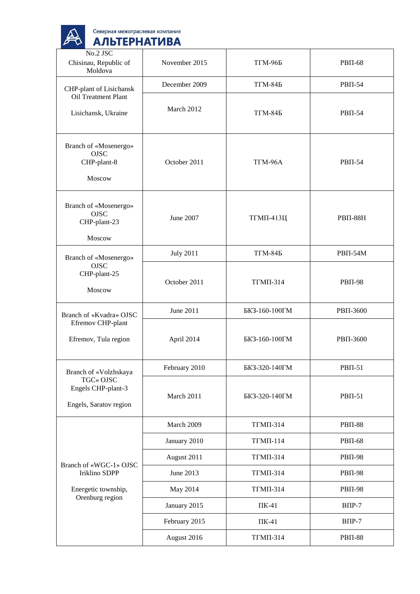| Северная межотраслевая компания |
|---------------------------------|
| <b>АЛЬТЕРНАТИВА</b>             |
|                                 |

 $\mathbb{A}$ 

| No.2 JSC<br>Chisinau, Republic of<br>Moldova                   | November 2015    | <b>TTM-965</b>   | <b>PBII-68</b>  |
|----------------------------------------------------------------|------------------|------------------|-----------------|
| CHP-plant of Lisichansk                                        | December 2009    | $TIM-84B$        | <b>PBΠ-54</b>   |
| Oil Treatment Plant<br>Lisichansk, Ukraine                     | March 2012       | $TIM-845$        | $PB\Pi-54$      |
| Branch of «Mosenergo»<br><b>OJSC</b><br>CHP-plant-8<br>Moscow  | October 2011     | TTM-96A          | <b>PBΠ-54</b>   |
| Branch of «Mosenergo»<br><b>OJSC</b><br>CHP-plant-23<br>Moscow | June 2007        | <b>ТГМП-413Ц</b> | <b>PBII-88H</b> |
| Branch of «Mosenergo»                                          | <b>July 2011</b> | $TIM-84B$        | <b>PBΠ-54Μ</b>  |
| <b>OJSC</b><br>CHP-plant-25<br>Moscow                          | October 2011     | <b>TΓΜΠ-314</b>  | <b>PBII-98</b>  |
| Branch of «Kvadra» OJSC                                        | June 2011        | БКЗ-160-100ГМ    | PBII-3600       |
| Efremov CHP-plant<br>Efremov, Tula region                      | April 2014       | БКЗ-160-100ГМ    | PBII-3600       |
| Branch of «Volzhskaya                                          | February 2010    | БКЗ-320-140ГМ    | $PBII-51$       |
| TGC» OJSC<br>Engels CHP-plant-3<br>Engels, Saratov region      | March 2011       | БКЗ-320-140ГМ    | <b>PBΠ-51</b>   |
|                                                                | March 2009       | <b>ТГМП-314</b>  | <b>PBII-88</b>  |
| Branch of «WGC-1» OJSC<br><b>Iriklino SDPP</b>                 | January 2010     | <b>ТГМП-114</b>  | <b>PBΠ-68</b>   |
|                                                                | August 2011      | <b>ТГМП-314</b>  | <b>PBII-98</b>  |
|                                                                | June 2013        | <b>ТГМП-314</b>  | <b>PBII-98</b>  |
| Energetic township,<br>Orenburg region                         | May 2014         | <b>TΓΜΠ-314</b>  | <b>PBII-98</b>  |
|                                                                | January 2015     | $\Pi K-41$       | $B\Pi P-7$      |
|                                                                | February 2015    | $\Pi K-41$       | $B\Pi P-7$      |
|                                                                | August 2016      | ТГМП-314         | <b>PBII-88</b>  |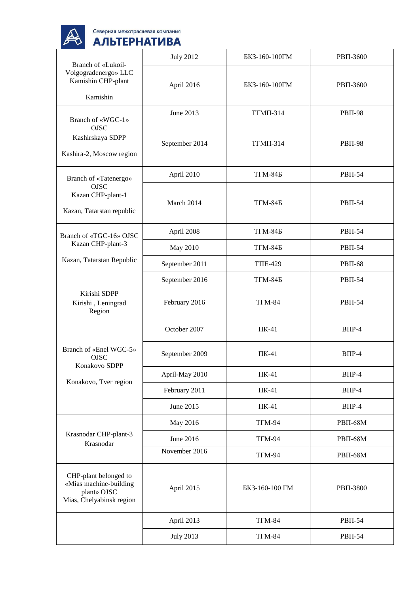$\mathbb{A}$ 

| Branch of «Lukoil-<br>Volgogradenergo» LLC<br>Kamishin CHP-plant<br>Kamishin               | <b>July 2012</b> | БКЗ-160-100ГМ   | PBII-3600       |
|--------------------------------------------------------------------------------------------|------------------|-----------------|-----------------|
|                                                                                            | April 2016       | БКЗ-160-100ГМ   | PBII-3600       |
|                                                                                            | June 2013        | <b>ТГМП-314</b> | <b>PBII-98</b>  |
| Branch of «WGC-1»<br><b>OJSC</b><br>Kashirskaya SDPP<br>Kashira-2, Moscow region           | September 2014   | <b>ТГМП-314</b> | <b>PBII-98</b>  |
| Branch of «Tatenergo»                                                                      | April 2010       | $T\Gamma M-84B$ | <b>PBΠ-54</b>   |
| <b>OJSC</b><br>Kazan CHP-plant-1<br>Kazan, Tatarstan republic                              | March 2014       | $T\Gamma M-84B$ | <b>PBII-54</b>  |
| Branch of «TGC-16» OJSC                                                                    | April 2008       | $T\Gamma M-845$ | <b>PBII-54</b>  |
| Kazan CHP-plant-3                                                                          | May 2010         | $T\Gamma M-845$ | <b>PBII-54</b>  |
| Kazan, Tatarstan Republic                                                                  | September 2011   | <b>TΠE-429</b>  | <b>PBII-68</b>  |
|                                                                                            | September 2016   | $T\Gamma M-845$ | <b>PBΠ-54</b>   |
| Kirishi SDPP<br>Kirishi, Leningrad<br>Region                                               | February 2016    | TTM-84          | <b>PBII-54</b>  |
|                                                                                            | October 2007     | $\Pi K-41$      | $B\Pi P-4$      |
| Branch of «Enel WGC-5»<br><b>OJSC</b><br>Konakovo SDPP                                     | September 2009   | $\Pi K-41$      | $B\Pi P-4$      |
|                                                                                            | April-May 2010   | $\Pi K-41$      | $B\Pi P-4$      |
| Konakovo, Tver region                                                                      | February 2011    | $\Pi K-41$      | $B\Pi P-4$      |
|                                                                                            | June 2015        | $\Pi K-41$      | $B\Pi P-4$      |
|                                                                                            | May 2016         | TTM-94          | <b>PBII-68M</b> |
| Krasnodar CHP-plant-3<br>Krasnodar                                                         | June 2016        | TTM-94          | <b>PBII-68M</b> |
|                                                                                            | November 2016    | TTM-94          | <b>PBII-68M</b> |
| CHP-plant belonged to<br>«Mias machine-building<br>plant» OJSC<br>Mias, Chelyabinsk region | April 2015       | БКЗ-160-100 ГМ  | PBII-3800       |
|                                                                                            | April 2013       | $TTM-84$        | <b>PBΠ-54</b>   |
|                                                                                            | <b>July 2013</b> | $TTM-84$        | <b>PBΠ-54</b>   |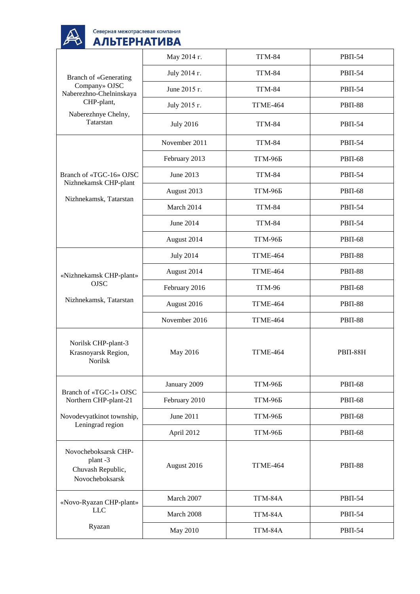

| <b>Branch of «Generating</b><br>Company» OJSC<br>Naberezhno-Chelninskaya | Мау 2014 г.      | $TTM-84$            | <b>PBII-54</b> |
|--------------------------------------------------------------------------|------------------|---------------------|----------------|
|                                                                          | July 2014 r.     | T <sub>I</sub> M-84 | <b>PBII-54</b> |
|                                                                          | June 2015 г.     | T <sub>I</sub> M-84 | <b>PBII-54</b> |
| CHP-plant,                                                               | July 2015 r.     | TTME-464            | <b>PBII-88</b> |
| Naberezhnye Chelny,<br>Tatarstan                                         | <b>July 2016</b> | $TTM-84$            | <b>PBII-54</b> |
|                                                                          | November 2011    | TTM-84              | <b>PBΠ-54</b>  |
|                                                                          | February 2013    | <b>ТГМ-96Б</b>      | <b>PBII-68</b> |
| Branch of «TGC-16» OJSC                                                  | June 2013        | TTM-84              | <b>PBII-54</b> |
| Nizhnekamsk CHP-plant                                                    | August 2013      | <b>ТГМ-96Б</b>      | <b>PBΠ-68</b>  |
| Nizhnekamsk, Tatarstan                                                   | March 2014       | $TIM-84$            | <b>PBΠ-54</b>  |
|                                                                          | June 2014        | <b>TFM-84</b>       | <b>PBII-54</b> |
|                                                                          | August 2014      | <b>ТГМ-96Б</b>      | <b>PBII-68</b> |
|                                                                          | <b>July 2014</b> | TTME-464            | <b>PBII-88</b> |
| «Nizhnekamsk CHP-plant»                                                  | August 2014      | TTME-464            | <b>PBII-88</b> |
| <b>OJSC</b>                                                              | February 2016    | $TIM-96$            | <b>PBII-68</b> |
| Nizhnekamsk, Tatarstan                                                   | August 2016      | TTME-464            | <b>PBII-88</b> |
|                                                                          | November 2016    | TTME-464            | <b>PBII-88</b> |
| Norilsk CHP-plant-3<br>Krasnoyarsk Region,<br>Norilsk                    | May 2016         | TTME-464            | $PB\Pi-88H$    |
|                                                                          | January 2009     | <b>ТГМ-96Б</b>      | <b>PBII-68</b> |
| Branch of «TGC-1» OJSC<br>Northern CHP-plant-21                          | February 2010    | <b>TTM-965</b>      | <b>PBII-68</b> |
| Novodevyatkinot township,                                                | June 2011        | <b>TTM-965</b>      | <b>PBII-68</b> |
| Leningrad region                                                         | April 2012       | <b>ТГМ-96Б</b>      | <b>PBΠ-68</b>  |
| Novocheboksarsk CHP-<br>plant-3<br>Chuvash Republic,<br>Novocheboksarsk  | August 2016      | TTME-464            | <b>PBII-88</b> |
| «Novo-Ryazan CHP-plant»                                                  | March 2007       | TTM-84A             | <b>PBII-54</b> |
| <b>LLC</b>                                                               | March 2008       | TTM-84A             | $PB\Pi-54$     |
| Ryazan                                                                   | May 2010         | TTM-84A             | $PBII-54$      |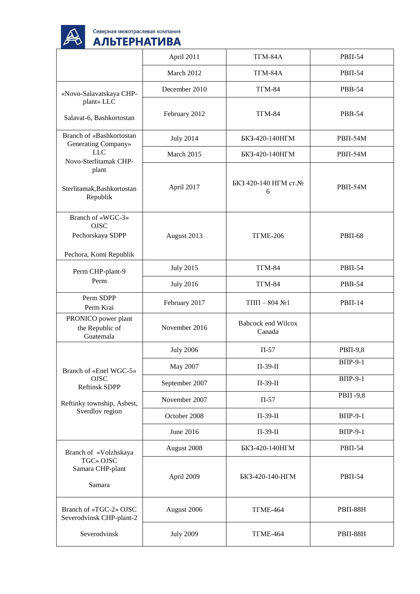

|                                                                                | April 2011       | TTM-84A                                | <b>PBΠ-54</b>   |
|--------------------------------------------------------------------------------|------------------|----------------------------------------|-----------------|
|                                                                                | March 2012       | TTM-84A                                | <b>PBII-54</b>  |
| «Novo-Salavatskaya CHP-                                                        | December 2010    | T <sub>I</sub> M-84                    | <b>PBB-54</b>   |
| plant» LLC<br>Salavat-6, Bashkortostan                                         | February 2012    | $TIM-84$                               | <b>PBB-54</b>   |
| Branch of «Bashkortostan<br>Generating Company»                                | <b>July 2014</b> | БКЗ-420-140НГМ                         | <b>PBΠ-54Μ</b>  |
| <b>LLC</b>                                                                     | March 2015       | БКЗ-420-140НГМ                         | <b>PBII-54M</b> |
| Novo-Sterlitamak CHP-<br>plant<br>Sterlitamak, Bashkortostan<br>Republik       | April 2017       | БКЗ 420-140 НГМ ст.№<br>6              | <b>PBΠ-54Μ</b>  |
| Branch of «WGC-3»<br><b>OJSC</b><br>Pechorskaya SDPP<br>Pechora, Komi Republik | August 2013      | TTME-206                               | <b>PBII-68</b>  |
| Perm CHP-plant-9                                                               | <b>July 2015</b> | $TIM-84$                               | $PBII-54$       |
| Perm                                                                           | <b>July 2016</b> | $TIM-84$                               | <b>PBB-54</b>   |
| Perm SDPP<br>Perm Krai                                                         | February 2017    | $T\Pi\Pi - 804 \text{ N}$ <sup>0</sup> | $PBII-14$       |
| PRONICO power plant<br>the Republic of<br>Guatemala                            | November 2016    | <b>Babcock end Wilcox</b><br>Canada    |                 |
|                                                                                | <b>July 2006</b> | $\Pi$ -57                              | <b>PBΠ-9,8</b>  |
| Branch of «Enel WGC-5»                                                         | May 2007         | $\Pi$ -39- $\Pi$                       | $B\Pi P-9-1$    |
| <b>OJSC</b><br><b>Reftinsk SDPP</b>                                            | September 2007   | $\Pi$ -39- $\Pi$                       | <b>BIIP-9-1</b> |
| Reftinky township, Asbest,                                                     | November 2007    | $\Pi$ -57                              | <b>РВП-9,8</b>  |
| Sverdlov region                                                                | October 2008     | $\Pi$ -39- $\Pi$                       | <b>BIIP-9-1</b> |
|                                                                                | June 2016        | $\Pi$ -39- $\Pi$                       | <b>ВПР-9-1</b>  |
| Branch of «Volzhskaya                                                          | August 2008      | БКЗ-420-140НГМ                         | <b>PBΠ-54</b>   |
| TGC» OJSC<br>Samara CHP-plant<br>Samara                                        | April 2009       | БКЗ-420-140-НГМ                        | $PB\Pi-54$      |
| Branch of «TGC-2» OJSC<br>Severodvinsk CHP-plant-2                             | August 2006      | TTME-464                               | $PB\Pi-88H$     |
| Severodvinsk                                                                   | <b>July 2009</b> | TTME-464                               | <b>PBII-88H</b> |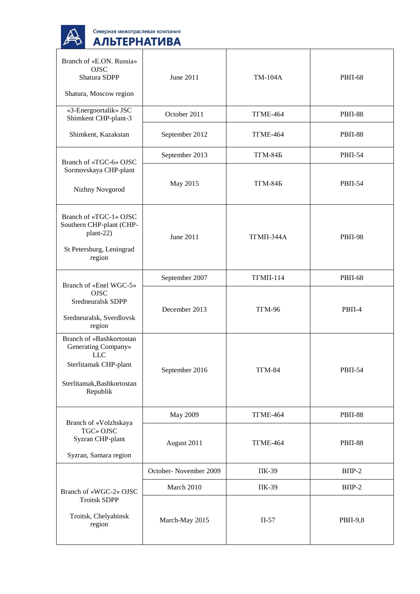

| Branch of «E.ON. Russia»<br><b>OJSC</b><br>Shatura SDPP<br>Shatura, Moscow region                                                | June 2011             | <b>TM-104A</b>   | <b>PBII-68</b> |
|----------------------------------------------------------------------------------------------------------------------------------|-----------------------|------------------|----------------|
| «3-Energoortalik» JSC<br>Shimkent CHP-plant-3                                                                                    | October 2011          | TTME-464         | <b>PBII-88</b> |
| Shimkent, Kazakstan                                                                                                              | September 2012        | TTME-464         | <b>PBII-88</b> |
| Branch of «TGC-6» OJSC                                                                                                           | September 2013        | <b>TTM-845</b>   | <b>PBΠ-54</b>  |
| Sormovskaya CHP-plant<br>Nizhny Novgorod                                                                                         | May 2015              | <b>TTM-845</b>   | <b>PBΠ-54</b>  |
| Branch of «TGC-1» OJSC<br>Southern CHP-plant (CHP-<br>plant-22)<br>St Petersburg, Leningrad<br>region                            | June 2011             | <b>ΤΓΜΠ-344Α</b> | <b>PBII-98</b> |
| Branch of «Enel WGC-5»                                                                                                           | September 2007        | <b>ТГМП-114</b>  | <b>PBII-68</b> |
| <b>OJSC</b><br>Sredneuralsk SDPP<br>Sredneuralsk, Sverdlovsk<br>region                                                           | December 2013         | TTM-96           | $PB\Pi-4$      |
| Branch of «Bashkortostan<br>Generating Company»<br><b>LLC</b><br>Sterlitamak CHP-plant<br>Sterlitamak, Bashkortostan<br>Republik | September 2016        | <b>TΓM-84</b>    | <b>PBΠ-54</b>  |
|                                                                                                                                  | May 2009              | TTME-464         | <b>PBII-88</b> |
| Branch of «Volzhskaya<br>TGC» OJSC<br>Syzran CHP-plant<br>Syzran, Samara region                                                  | August 2011           | TTME-464         | <b>PBII-88</b> |
|                                                                                                                                  | October-November 2009 | ПК-39            | $B\Pi P-2$     |
| Branch of «WGC-2» OJSC                                                                                                           | March 2010            | ПК-39            | $B\Pi P-2$     |
| <b>Troitsk SDPP</b><br>Troitsk, Chelyabinsk<br>region                                                                            | March-May 2015        | $\Pi$ -57        | <b>PBΠ-9,8</b> |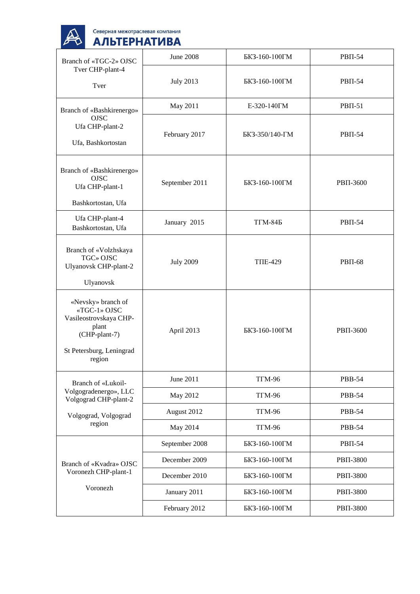

| Branch of «TGC-2» OJSC                                                                                                       | <b>June 2008</b> | БКЗ-160-100ГМ   | <b>PBII-54</b>  |
|------------------------------------------------------------------------------------------------------------------------------|------------------|-----------------|-----------------|
| Tver CHP-plant-4<br>Tver                                                                                                     | <b>July 2013</b> | БКЗ-160-100ГМ   | <b>PBII-54</b>  |
| Branch of «Bashkirenergo»                                                                                                    | May 2011         | E-320-140 TM    | $PBII-51$       |
| <b>OJSC</b><br>Ufa CHP-plant-2<br>Ufa, Bashkortostan                                                                         | February 2017    | БКЗ-350/140-ГМ  | $PBII-54$       |
| Branch of «Bashkirenergo»<br><b>OJSC</b><br>Ufa CHP-plant-1<br>Bashkortostan, Ufa                                            | September 2011   | БКЗ-160-100ГМ   | PBII-3600       |
| Ufa CHP-plant-4<br>Bashkortostan, Ufa                                                                                        | January 2015     | $T\Gamma M-84B$ | $PB\Pi-54$      |
| Branch of «Volzhskaya<br>TGC» OJSC<br>Ulyanovsk CHP-plant-2<br>Ulyanovsk                                                     | <b>July 2009</b> | <b>TIIE-429</b> | <b>PBII-68</b>  |
| «Nevsky» branch of<br>«TGC-1» OJSC<br>Vasileostrovskaya CHP-<br>plant<br>(CHP-plant-7)<br>St Petersburg, Leningrad<br>region | April 2013       | БКЗ-160-100ГМ   | <b>PBΠ-3600</b> |
| Branch of «Lukoil-                                                                                                           | June 2011        | <b>TΓM-96</b>   | <b>PBB-54</b>   |
| Volgogradenergo», LLC<br>Volgograd CHP-plant-2                                                                               | May 2012         | <b>TΓM-96</b>   | <b>PBB-54</b>   |
| Volgograd, Volgograd<br>region                                                                                               | August 2012      | <b>TFM-96</b>   | <b>PBB-54</b>   |
|                                                                                                                              | May 2014         | <b>TFM-96</b>   | <b>PBB-54</b>   |
| Branch of «Kvadra» OJSC                                                                                                      | September 2008   | БКЗ-160-100ГМ   | <b>PBΠ-54</b>   |
|                                                                                                                              | December 2009    | БКЗ-160-100ГМ   | PBII-3800       |
| Voronezh CHP-plant-1                                                                                                         | December 2010    | БКЗ-160-100ГМ   | PBII-3800       |
| Voronezh                                                                                                                     | January 2011     | БКЗ-160-100ГМ   | PBII-3800       |
|                                                                                                                              | February 2012    | БКЗ-160-100ГМ   | PBII-3800       |